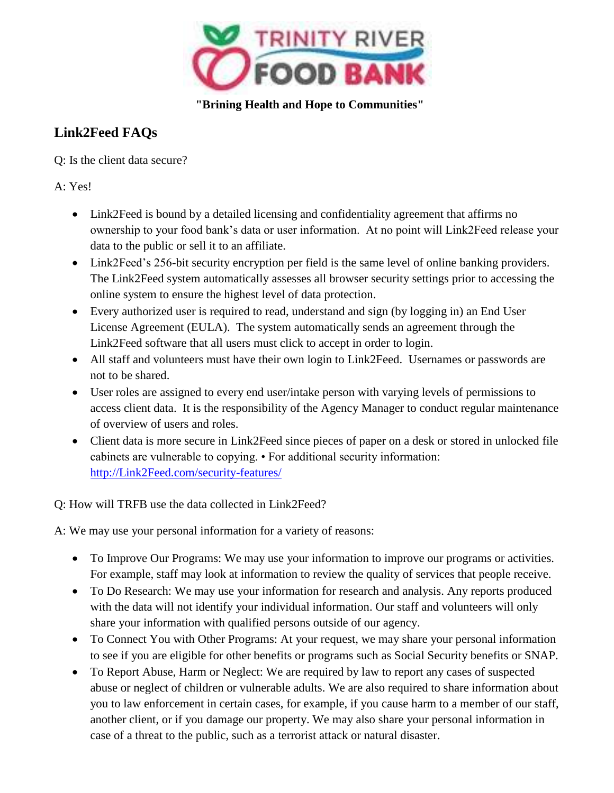

 **"Brining Health and Hope to Communities"**

## **Link2Feed FAQs**

Q: Is the client data secure?

A: Yes!

- Link2Feed is bound by a detailed licensing and confidentiality agreement that affirms no ownership to your food bank's data or user information. At no point will Link2Feed release your data to the public or sell it to an affiliate.
- Link2Feed's 256-bit security encryption per field is the same level of online banking providers. The Link2Feed system automatically assesses all browser security settings prior to accessing the online system to ensure the highest level of data protection.
- Every authorized user is required to read, understand and sign (by logging in) an End User License Agreement (EULA). The system automatically sends an agreement through the Link2Feed software that all users must click to accept in order to login.
- All staff and volunteers must have their own login to Link2Feed. Usernames or passwords are not to be shared.
- User roles are assigned to every end user/intake person with varying levels of permissions to access client data. It is the responsibility of the Agency Manager to conduct regular maintenance of overview of users and roles.
- Client data is more secure in Link2Feed since pieces of paper on a desk or stored in unlocked file cabinets are vulnerable to copying. • For additional security information: [http://Link2Feed.com/security-features/](http://link2feed.com/security-features/)

Q: How will TRFB use the data collected in Link2Feed?

A: We may use your personal information for a variety of reasons:

- To Improve Our Programs: We may use your information to improve our programs or activities. For example, staff may look at information to review the quality of services that people receive.
- To Do Research: We may use your information for research and analysis. Any reports produced with the data will not identify your individual information. Our staff and volunteers will only share your information with qualified persons outside of our agency.
- To Connect You with Other Programs: At your request, we may share your personal information to see if you are eligible for other benefits or programs such as Social Security benefits or SNAP.
- To Report Abuse, Harm or Neglect: We are required by law to report any cases of suspected abuse or neglect of children or vulnerable adults. We are also required to share information about you to law enforcement in certain cases, for example, if you cause harm to a member of our staff, another client, or if you damage our property. We may also share your personal information in case of a threat to the public, such as a terrorist attack or natural disaster.